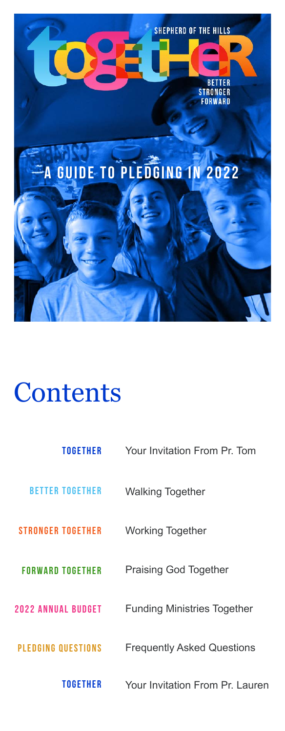

# A GUIDE TO PLEDGING IN 2022

# Contents

[TOGETHER](#page-1-0) Your Invitation From Pr. Tom

[BETTER TOGETHER](#page-2-0) Walking Together

[STRONGER TOGETHER](#page-3-0) Working Together



PLEDGING QUESTIONS Frequently Asked Questions

[FORWARD TOGETHER](#page-4-0) Praising God Together

[2022 Annual Budget](#page-5-0) Funding Ministries Together

#### Your Invitation From Pr. Lauren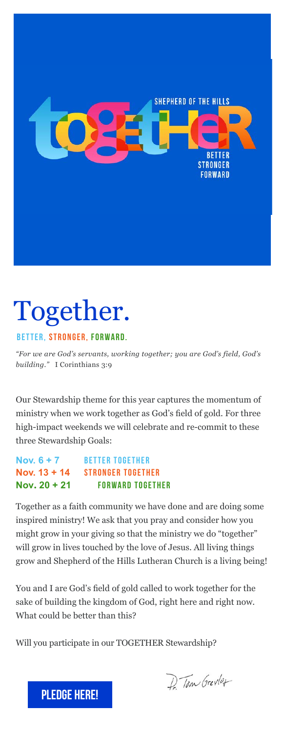

# <span id="page-1-0"></span>Together.

STRONGER, FORWARD.

*"For we are God's servants, working together; you are God's field, God's building."* I Corinthians 3:9

Our Stewardship theme for this year captures the momentum of ministry when we work together as God's field of gold. For three high-impact weekends we will celebrate and re-commit to these three Stewardship Goals:

| Nov. $6 + 7$   | <b>BETTER TOGETHER</b>   |
|----------------|--------------------------|
| Nov. $13 + 14$ | <b>STRONGER TOGETHER</b> |
| Nov. $20 + 21$ | <b>FORWARD TOGETHER</b>  |

Together as a faith community we have done and are doing some inspired ministry! We ask that you pray and consider how you might grow in your giving so that the ministry we do "together" will grow in lives touched by the love of Jesus. All living things grow and Shepherd of the Hills Lutheran Church is a living being!

You and I are God's field of gold called to work together for the sake of building the kingdom of God, right here and right now. What could be better than this?

Will you participate in our TOGETHER Stewardship?

P. Tom Grevler



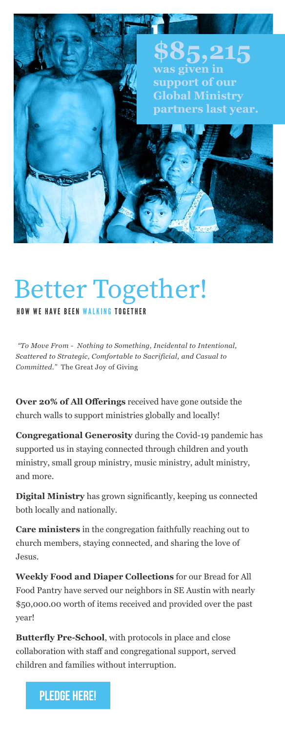*"To Move From - Nothing to Something, Incidental to Intentional, Scattered to Strategic, Comfortable to Sacrificial, and Casual to Committed."* The Great Joy of Giving

**Over 20% of All Offerings** received have gone outside the church walls to support ministries globally and locally!

**Congregational Generosity** during the Covid-19 pandemic has supported us in staying connected through children and youth ministry, small group ministry, music ministry, adult ministry, and more.

**Digital Ministry** has grown significantly, keeping us connected both locally and nationally.

**Care ministers** in the congregation faithfully reaching out to church members, staying connected, and sharing the love of Jesus.

**Weekly Food and Diaper Collections** for our Bread for All Food Pantry have served our neighbors in SE Austin with nearly \$50,000.00 worth of items received and provided over the past year!

**Butterfly Pre-School**, with protocols in place and close collaboration with staff and congregational support, served children and families without interruption.

HOW WE HAVE BEEN WALKING TOGETHER

# Better Together!

<span id="page-2-0"></span>

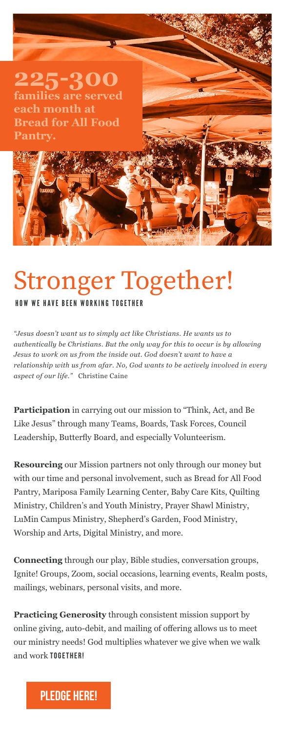# Stronger Together! HOW WE HAVE BEEN WORKING TOGETHER

*"Jesus doesn't want us to simply act like Christians. He wants us to* 

*authentically be Christians. But the only way for this to occur is by allowing Jesus to work on us from the inside out. God doesn't want to have a relationship with us from afar. No, God wants to be actively involved in every aspect of our life."* Christine Caine

**Participation** in carrying out our mission to "Think, Act, and Be Like Jesus" through many Teams, Boards, Task Forces, Council Leadership, Butterfly Board, and especially Volunteerism.

**Resourcing** our Mission partners not only through our money but with our time and personal involvement, such as Bread for All Food Pantry, Mariposa Family Learning Center, Baby Care Kits, Quilting Ministry, Children's and Youth Ministry, Prayer Shawl Ministry, LuMin Campus Ministry, Shepherd's Garden, Food Ministry, Worship and Arts, Digital Ministry, and more.

**Connecting** through our play, Bible studies, conversation groups, Ignite! Groups, Zoom, social occasions, learning events, Realm posts, mailings, webinars, personal visits, and more.

**Practicing Generosity** through consistent mission support by online giving, auto-debit, and mailing of offering allows us to meet our ministry needs! God multiplies whatever we give when we walk and work TOGETHER!

## <span id="page-3-0"></span>**225-300 families are served each month at Bread for All Food Pantry.**

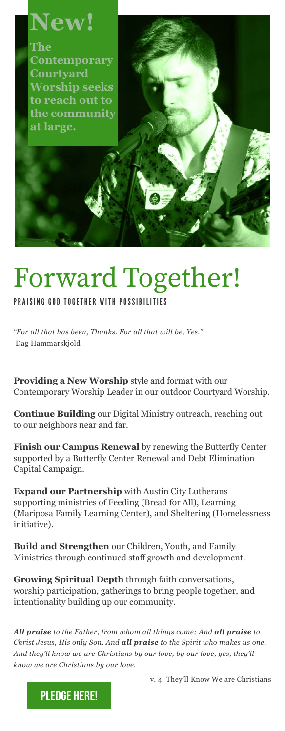# Forward Together!

**Providing a New Worship** style and format with our Contemporary Worship Leader in our outdoor Courtyard Worship.

**Continue Building** our Digital Ministry outreach, reaching out to our neighbors near and far.

**Finish our Campus Renewal** by renewing the Butterfly Center supported by a Butterfly Center Renewal and Debt Elimination Capital Campaign.

**Expand our Partnership** with Austin City Lutherans supporting ministries of Feeding (Bread for All), Learning (Mariposa Family Learning Center), and Sheltering (Homelessness initiative).

**Build and Strengthen** our Children, Youth, and Family Ministries through continued staff growth and development.

**Growing Spiritual Depth** through faith conversations, worship participation, gatherings to bring people together, and intentionality building up our community.

*All praise to the Father, from whom all things come; And all praise to Christ Jesus, His only Son. And all praise to the Spirit who makes us one. And they'll know we are Christians by our love, by our love, yes, they'll know we are Christians by our love.*

v. 4 They'll Know We are Christians

#### PRAISING GOD TOGETHER WITH POSSIBILITIES

*"For all that has been, Thanks. For all that will be, Yes."* 

# <span id="page-4-0"></span>**New!**

**The Contemporary Courtyard Worship seeks to reach out to the community at large.** 

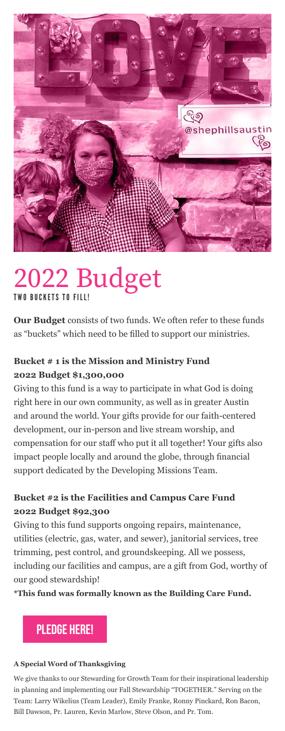**Our Budget** consists of two funds. We often refer to these funds as "buckets" which need to be filled to support our ministries.

## **Bucket # 1 is the Mission and Ministry Fund 2022 Budget \$1,300,000**

Giving to this fund is a way to participate in what God is doing right here in our own community, as well as in greater Austin and around the world. Your gifts provide for our faith-centered development, our in-person and live stream worship, and compensation for our staff who put it all together! Your gifts also impact people locally and around the globe, through financial support dedicated by the Developing Missions Team.

## **Bucket #2 is the Facilities and Campus Care Fund 2022 Budget \$92,300**

Giving to this fund supports ongoing repairs, maintenance, utilities (electric, gas, water, and sewer), janitorial services, tree trimming, pest control, and groundskeeping. All we possess, including our facilities and campus, are a gift from God, worthy of our good stewardship!

**\*This fund was formally known as the Building Care Fund.**

## PLEDGE HERE!

#### **A Special Word of Thanksgiving**

We give thanks to our Stewarding for Growth Team for their inspirational leadership

#### in planning and implementing our Fall Stewardship "TOGETHER." Serving on the

#### Team: Larry Wikelius (Team Leader), Emily Franke, Ronny Pinckard, Ron Bacon,

Bill Dawson, Pr. Lauren, Kevin Marlow, Steve Olson, and Pr. Tom.



## <span id="page-5-0"></span>2022 Budget TWO BUCKETS TO FILL!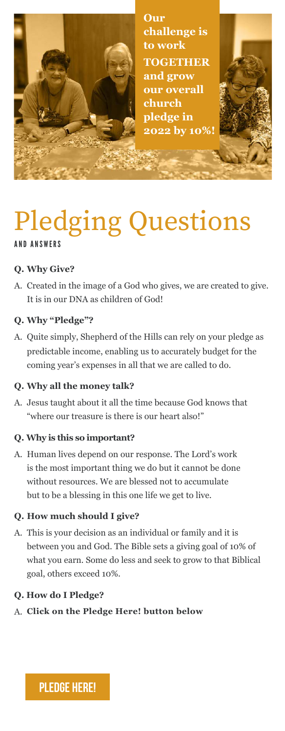## **Q. Why Give?**

A. Created in the image of a God who gives, we are created to give. It is in our DNA as children of God!

### **Q. Why "Pledge"?**

A. Quite simply, Shepherd of the Hills can rely on your pledge as predictable income, enabling us to accurately budget for the coming year's expenses in all that we are called to do.

### **Q. Why all the money talk?**

A. Jesus taught about it all the time because God knows that "where our treasure is there is our heart also!"

## **Q. Why is this so important?**

A. Human lives depend on our response. The Lord's work is the most important thing we do but it cannot be done without resources. We are blessed not to accumulate but to be a blessing in this one life we get to live.

### **Q. How much should I give?**

A. This is your decision as an individual or family and it is between you and God. The Bible sets a giving goal of 10% of what you earn. Some do less and seek to grow to that Biblical goal, others exceed 10%.

### **Q. How do I Pledge?**

A. **Click on the Pledge Here! button below**

# Pledging Questions AND ANSWERS



<span id="page-6-0"></span>**Our challenge is to work TOGETHER and grow our overall church pledge in 2022 by 10%!**